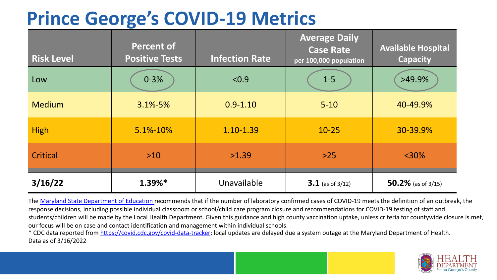# **Prince George's COVID-19 Metrics**

| <b>Risk Level</b> | <b>Percent of</b><br><b>Positive Tests</b> | <b>Infection Rate</b> | <b>Average Daily</b><br><b>Case Rate</b><br>per 100,000 population | <b>Available Hospital</b><br><b>Capacity</b> |
|-------------------|--------------------------------------------|-----------------------|--------------------------------------------------------------------|----------------------------------------------|
| Low               | $0 - 3%$                                   | < 0.9                 | $1-5$                                                              | >49.9%                                       |
| <b>Medium</b>     | $3.1\% - 5\%$                              | $0.9 - 1.10$          | $5 - 10$                                                           | 40-49.9%                                     |
| <b>High</b>       | 5.1%-10%                                   | 1.10-1.39             | $10 - 25$                                                          | 30-39.9%                                     |
| Critical          | $>10$                                      | >1.39                 | $>25$                                                              | $<$ 30%                                      |
| 3/16/22           | $1.39%*$                                   | Unavailable           | $3.1$ (as of 3/12)                                                 | 50.2% (as of $3/15$ )                        |

The [Maryland State Department of Education](https://earlychildhood.marylandpublicschools.org/system/files/filedepot/3/covid_guidance_full_080420.pdf) recommends that if the number of laboratory confirmed cases of COVID-19 meets the definition of an outbreak, the response decisions, including possible individual classroom or school/child care program closure and recommendations for COVID-19 testing of staff and students/children will be made by the Local Health Department. Given this guidance and high county vaccination uptake, unless criteria for countywide closure is met, our focus will be on case and contact identification and management within individual schools.

\* CDC data reported from <https://covid.cdc.gov/covid-data-tracker>; local updates are delayed due a system outage at the Maryland Department of Health. Data as of 3/16/2022

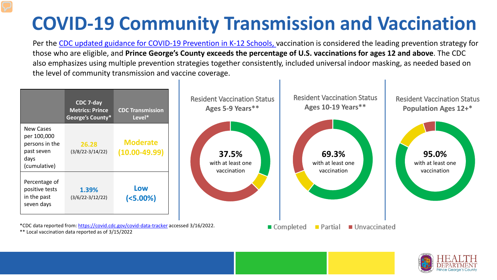# **COVID-19 Community Transmission and Vaccination**

Per the [CDC updated guidance for COVID-19 Prevention in K-12 Schools,](https://www.cdc.gov/coronavirus/2019-ncov/community/schools-childcare/k-12-guidance.html) vaccination is considered the leading prevention strategy for those who are eligible, and **Prince George's County exceeds the percentage of U.S. vaccinations for ages 12 and above**. The CDC also emphasizes using multiple prevention strategies together consistently, included universal indoor masking, as needed based on the level of community transmission and vaccine coverage.



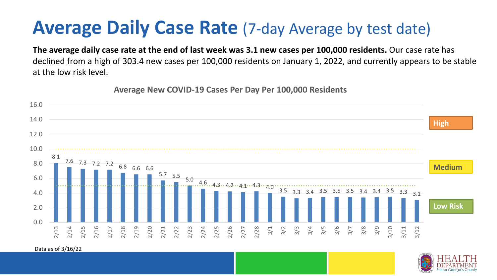### **Average Daily Case Rate** (7-day Average by test date)

**The average daily case rate at the end of last week was 3.1 new cases per 100,000 residents.** Our case rate has declined from a high of 303.4 new cases per 100,000 residents on January 1, 2022, and currently appears to be stable at the low risk level.

**Average New COVID-19 Cases Per Day Per 100,000 Residents**